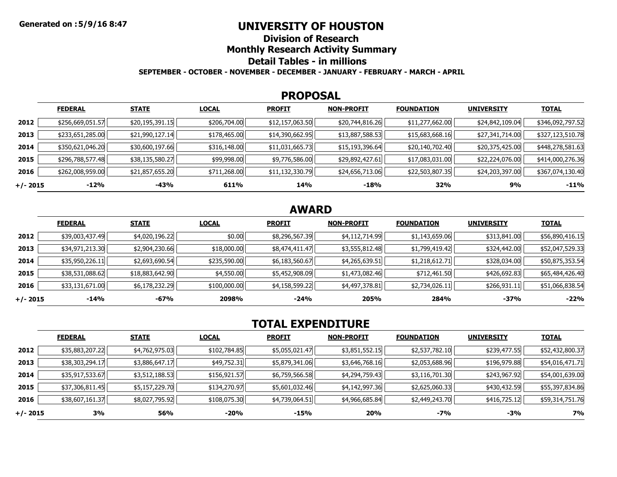## **UNIVERSITY OF HOUSTON**

**Division of Research**

**Monthly Research Activity Summary**

**Detail Tables - in millions**

**SEPTEMBER - OCTOBER - NOVEMBER - DECEMBER - JANUARY - FEBRUARY - MARCH - APRIL**

#### **PROPOSAL**

|            | <b>FEDERAL</b>   | <b>STATE</b>    | <b>LOCAL</b> | <b>PROFIT</b>   | <b>NON-PROFIT</b> | <b>FOUNDATION</b> | <b>UNIVERSITY</b> | <b>TOTAL</b>     |
|------------|------------------|-----------------|--------------|-----------------|-------------------|-------------------|-------------------|------------------|
| 2012       | \$256,669,051.57 | \$20,195,391.15 | \$206,704.00 | \$12,157,063.50 | \$20,744,816.26   | \$11,277,662.00   | \$24,842,109.04   | \$346,092,797.52 |
| 2013       | \$233,651,285.00 | \$21,990,127.14 | \$178,465.00 | \$14,390,662.95 | \$13,887,588.53   | \$15,683,668.16   | \$27,341,714.00   | \$327,123,510.78 |
| 2014       | \$350,621,046.20 | \$30,600,197.66 | \$316,148.00 | \$11,031,665.73 | \$15,193,396.64   | \$20,140,702.40   | \$20,375,425.00   | \$448,278,581.63 |
| 2015       | \$296,788,577.48 | \$38,135,580.27 | \$99,998.00  | \$9,776,586.00  | \$29,892,427.61   | \$17,083,031.00   | \$22,224,076.00   | \$414,000,276.36 |
| 2016       | \$262,008,959.00 | \$21,857,655.20 | \$711,268.00 | \$11,132,330.79 | \$24,656,713.06   | \$22,503,807.35   | \$24,203,397.00   | \$367,074,130.40 |
| $+/- 2015$ | -12%             | -43%            | 611%         | 14%             | -18%              | 32%               | 9%                | $-11%$           |

## **AWARD**

|            | <b>FEDERAL</b>  | <b>STATE</b>    | <b>LOCAL</b> | <b>PROFIT</b>  | <b>NON-PROFIT</b> | <b>FOUNDATION</b> | <b>UNIVERSITY</b> | <b>TOTAL</b>    |
|------------|-----------------|-----------------|--------------|----------------|-------------------|-------------------|-------------------|-----------------|
| 2012       | \$39,003,437.49 | \$4,020,196.22  | \$0.00       | \$8,296,567.39 | \$4,112,714.99    | \$1,143,659.06    | \$313,841.00      | \$56,890,416.15 |
| 2013       | \$34,971,213.30 | \$2,904,230.66  | \$18,000.00  | \$8,474,411.47 | \$3,555,812.48    | \$1,799,419.42    | \$324,442.00      | \$52,047,529.33 |
| 2014       | \$35,950,226.11 | \$2,693,690.54  | \$235,590.00 | \$6,183,560.67 | \$4,265,639.51    | \$1,218,612.71    | \$328,034.00      | \$50,875,353.54 |
| 2015       | \$38,531,088.62 | \$18,883,642.90 | \$4,550.00   | \$5,452,908.09 | \$1,473,082.46    | \$712,461.50      | \$426,692.83      | \$65,484,426.40 |
| 2016       | \$33,131,671.00 | \$6,178,232.29  | \$100,000.00 | \$4,158,599.22 | \$4,497,378.81    | \$2,734,026.11    | \$266,931.11      | \$51,066,838.54 |
| $+/- 2015$ | $-14%$          | $-67%$          | 2098%        | $-24%$         | 205%              | 284%              | $-37%$            | $-22%$          |

# **TOTAL EXPENDITURE**

|          | <b>FEDERAL</b>  | <b>STATE</b>   | <b>LOCAL</b> | <b>PROFIT</b>  | <b>NON-PROFIT</b> | <b>FOUNDATION</b> | <b>UNIVERSITY</b> | <b>TOTAL</b>    |
|----------|-----------------|----------------|--------------|----------------|-------------------|-------------------|-------------------|-----------------|
| 2012     | \$35,883,207.22 | \$4,762,975.03 | \$102,784.85 | \$5,055,021.47 | \$3,851,552.15    | \$2,537,782.10    | \$239,477.55      | \$52,432,800.37 |
| 2013     | \$38,303,294.17 | \$3,886,647.17 | \$49,752.31  | \$5,879,341.06 | \$3,646,768.16    | \$2,053,688.96    | \$196,979.88      | \$54,016,471.71 |
| 2014     | \$35,917,533.67 | \$3,512,188.53 | \$156,921.57 | \$6,759,566.58 | \$4,294,759.43    | \$3,116,701.30    | \$243,967.92      | \$54,001,639.00 |
| 2015     | \$37,306,811.45 | \$5,157,229.70 | \$134,270.97 | \$5,601,032.46 | \$4,142,997.36    | \$2,625,060.33    | \$430,432.59      | \$55,397,834.86 |
| 2016     | \$38,607,161.37 | \$8,027,795.92 | \$108,075.30 | \$4,739,064.51 | \$4,966,685.84    | \$2,449,243.70    | \$416,725.12      | \$59,314,751.76 |
| +/- 2015 | 3%              | 56%            | -20%         | -15%           | 20%               | -7%               | -3%               | <b>7%</b>       |